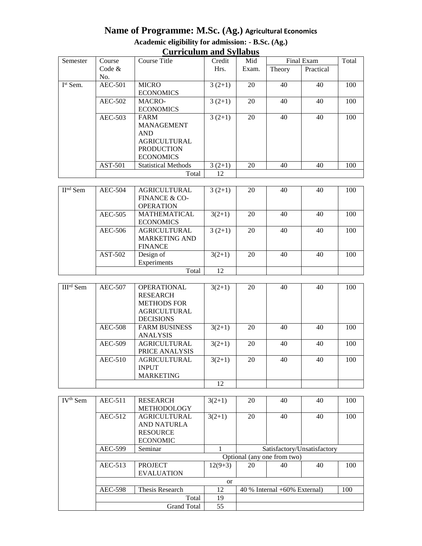## **Name of Programme: M.Sc. (Ag.) Agricultural Economics Academic eligibility for admission: - B.Sc. (Ag.) Curriculum and Syllabus**

| $\sim$ urroumen unu $\sim$ , moves |                |                            |          |       |            |           |       |  |
|------------------------------------|----------------|----------------------------|----------|-------|------------|-----------|-------|--|
| Semester                           | Course         | Course Title               | Credit   | Mid   | Final Exam |           | Total |  |
|                                    | Code $&$       |                            | Hrs.     | Exam. | Theory     | Practical |       |  |
|                                    | No.            |                            |          |       |            |           |       |  |
| I <sup>st</sup> Sem.               | <b>AEC-501</b> | <b>MICRO</b>               | $3(2+1)$ | 20    | 40         | 40        | 100   |  |
|                                    |                | <b>ECONOMICS</b>           |          |       |            |           |       |  |
|                                    | <b>AEC-502</b> | <b>MACRO-</b>              | $3(2+1)$ | 20    | 40         | 40        | 100   |  |
|                                    |                | <b>ECONOMICS</b>           |          |       |            |           |       |  |
|                                    | AEC-503        | <b>FARM</b>                | $3(2+1)$ | 20    | 40         | 40        | 100   |  |
|                                    |                | <b>MANAGEMENT</b>          |          |       |            |           |       |  |
|                                    |                | <b>AND</b>                 |          |       |            |           |       |  |
|                                    |                | <b>AGRICULTURAL</b>        |          |       |            |           |       |  |
|                                    |                | <b>PRODUCTION</b>          |          |       |            |           |       |  |
|                                    |                | <b>ECONOMICS</b>           |          |       |            |           |       |  |
|                                    | AST-501        | <b>Statistical Methods</b> | $3(2+1)$ | 20    | 40         | 40        | 100   |  |
|                                    |                | Total                      | 12       |       |            |           |       |  |

| $IInd$ Sem | <b>AEC-504</b> | <b>AGRICULTURAL</b>      | $3(2+1)$ | 20 | 40 | 40 | 100 |
|------------|----------------|--------------------------|----------|----|----|----|-----|
|            |                | <b>FINANCE &amp; CO-</b> |          |    |    |    |     |
|            |                | <b>OPERATION</b>         |          |    |    |    |     |
|            | AEC-505        | <b>MATHEMATICAL</b>      | $3(2+1)$ | 20 | 40 | 40 | 100 |
|            |                | <b>ECONOMICS</b>         |          |    |    |    |     |
|            | AEC-506        | <b>AGRICULTURAL</b>      | $3(2+1)$ | 20 | 40 | 40 | 100 |
|            |                | <b>MARKETING AND</b>     |          |    |    |    |     |
|            |                | <b>FINANCE</b>           |          |    |    |    |     |
|            | AST-502        | Design of                | $3(2+1)$ | 20 | 40 | 40 | 100 |
|            |                | Experiments              |          |    |    |    |     |
|            |                | Total                    | 12       |    |    |    |     |

| III <sup>rd</sup> Sem | <b>AEC-507</b> | <b>OPERATIONAL</b>   | $3(2+1)$ | 20 | 40 | 40 | 100 |
|-----------------------|----------------|----------------------|----------|----|----|----|-----|
|                       |                | <b>RESEARCH</b>      |          |    |    |    |     |
|                       |                | <b>METHODS FOR</b>   |          |    |    |    |     |
|                       |                | <b>AGRICULTURAL</b>  |          |    |    |    |     |
|                       |                | <b>DECISIONS</b>     |          |    |    |    |     |
|                       | <b>AEC-508</b> | <b>FARM BUSINESS</b> | $3(2+1)$ | 20 | 40 | 40 | 100 |
|                       |                | <b>ANALYSIS</b>      |          |    |    |    |     |
|                       | AEC-509        | AGRICULTURAL         | $3(2+1)$ | 20 | 40 | 40 | 100 |
|                       |                | PRICE ANALYSIS       |          |    |    |    |     |
|                       | <b>AEC-510</b> | <b>AGRICULTURAL</b>  | $3(2+1)$ | 20 | 40 | 40 | 100 |
|                       |                | <b>INPUT</b>         |          |    |    |    |     |
|                       |                | <b>MARKETING</b>     |          |    |    |    |     |
|                       |                |                      | 12       |    |    |    |     |

| IV <sup>th</sup> Sem | $AEC-511$                   | <b>RESEARCH</b>     | $3(2+1)$  | 20                          | 40                                | 40 | 100 |  |  |
|----------------------|-----------------------------|---------------------|-----------|-----------------------------|-----------------------------------|----|-----|--|--|
|                      |                             | <b>METHODOLOGY</b>  |           |                             |                                   |    |     |  |  |
|                      | AEC-512                     | <b>AGRICULTURAL</b> | $3(2+1)$  | 20                          | 40                                | 40 | 100 |  |  |
|                      |                             | AND NATURLA         |           |                             |                                   |    |     |  |  |
|                      |                             | <b>RESOURCE</b>     |           |                             |                                   |    |     |  |  |
|                      |                             | <b>ECONOMIC</b>     |           |                             |                                   |    |     |  |  |
|                      | <b>AEC-599</b>              | Seminar             |           | Satisfactory/Unsatisfactory |                                   |    |     |  |  |
|                      | Optional (any one from two) |                     |           |                             |                                   |    |     |  |  |
|                      | $AEC-513$                   | <b>PROJECT</b>      | $12(9+3)$ | 20                          | 40                                | 40 | 100 |  |  |
|                      |                             | <b>EVALUATION</b>   |           |                             |                                   |    |     |  |  |
|                      | <sub>or</sub>               |                     |           |                             |                                   |    |     |  |  |
|                      | <b>AEC-598</b>              | Thesis Research     | 12        |                             | $40\%$ Internal $+60\%$ External) |    | 100 |  |  |
|                      |                             | Total               | 19        |                             |                                   |    |     |  |  |
|                      |                             | 55                  |           |                             |                                   |    |     |  |  |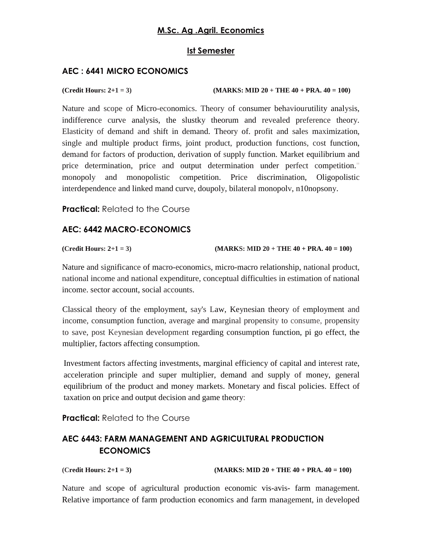## **M.Sc. Ag .Agril. Economics**

## **Ist Semester**

## **AEC : 6441 MICRO ECONOMICS**

**(Credit Hours: 2+1 = 3) (MARKS: MID 20 + THE 40 + PRA. 40 = 100)** 

Nature and scope of Micro-economics. Theory of consumer behaviourutility analysis, indifference curve analysis, the slustky theorum and revealed preference theory. Elasticity of demand and shift in demand. Theory of. profit and sales maximization, single and multiple product firms, joint product, production functions, cost function, demand for factors of production, derivation of supply function. Market equilibrium and price determination, price and output determination under perfect competition." monopoly and monopolistic competition. Price discrimination, Oligopolistic interdependence and linked mand curve, doupoly, bilateral monopolv, n10nopsony.

**Practical:** Related to the Course

## **AEC: 6442 MACRO-ECONOMICS**

**(Credit Hours: 2+1 = 3) (MARKS: MID 20 + THE 40 + PRA. 40 = 100)** 

Nature and significance of macro-economics, micro-macro relationship, national product, national income and national expenditure, conceptual difficulties in estimation of national income. sector account, social accounts.

Classical theory of the employment, say's Law, Keynesian theory of employment and income, consumption function, average and marginal propensity to consume, propensity to save, post Keynesian development regarding consumption function, pi go effect, the multiplier, factors affecting consumption.

Investment factors affecting investments, marginal efficiency of capital and interest rate, acceleration principle and super multiplier, demand and supply of money, general equilibrium of the product and money markets. Monetary and fiscal policies. Effect of taxation on price and output decision and game theory:

**Practical:** Related to the Course

# **AEC 6443: FARM MANAGEMENT AND AGRICULTURAL PRODUCTION ECONOMICS**

**(Credit Hours: 2+1 = 3) (MARKS: MID 20 + THE 40 + PRA. 40 = 100)** 

Nature and scope of agricultural production economic vis-avis- farm management. Relative importance of farm production economics and farm management, in developed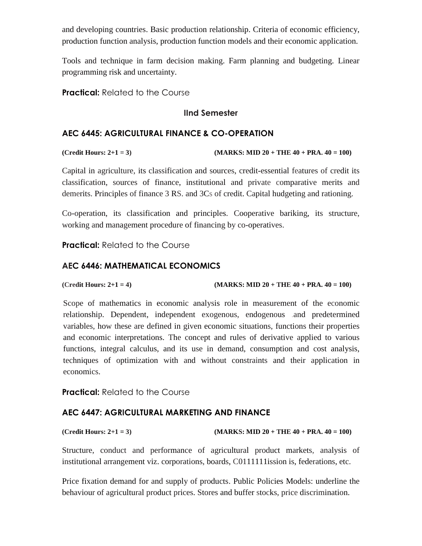and developing countries. Basic production relationship. Criteria of economic efficiency, production function analysis, production function models and their economic application.

Tools and technique in farm decision making. Farm planning and budgeting. Linear programming risk and uncertainty.

**Practical:** Related to the Course

## **IInd Semester**

## **AEC 6445: AGRICULTURAL FINANCE & CO-OPERATION**

**(Credit Hours: 2+1 = 3) (MARKS: MID 20 + THE 40 + PRA. 40 = 100)** 

Capital in agriculture, its classification and sources, credit-essential features of credit its classification, sources of finance, institutional and private comparative merits and demerits. Principles of finance 3 RS. and 3Cs of credit. Capital hudgeting and rationing.

Co-operation, its classification and principles. Cooperative bariking, its structure, working and management procedure of financing by co-operatives.

**Practical:** Related to the Course

## **AEC 6446: MATHEMATICAL ECONOMICS**

### $(Credit Hours: 2+1 = 4)$   $(MARKS: MID 20 + THE 40 + PRA. 40 = 100)$

Scope of mathematics in economic analysis role in measurement of the economic relationship. Dependent, independent exogenous, endogenous .and predetermined variables, how these are defined in given economic situations, functions their properties and economic interpretations. The concept and rules of derivative applied to various functions, integral calculus, and its use in demand, consumption and cost analysis, techniques of optimization with and without constraints and their application in economics.

## **Practical: Related to the Course**

## **AEC 6447: AGRICULTURAL MARKETING AND FINANCE**

**(Credit Hours: 2+1 = 3) (MARKS: MID 20 + THE 40 + PRA. 40 = 100)** 

Structure, conduct and performance of agricultural product markets, analysis of institutional arrangement viz. corporations, boards, C0111111ission is, federations, etc.

Price fixation demand for and supply of products. Public Policies Models: underline the behaviour of agricultural product prices. Stores and buffer stocks, price discrimination.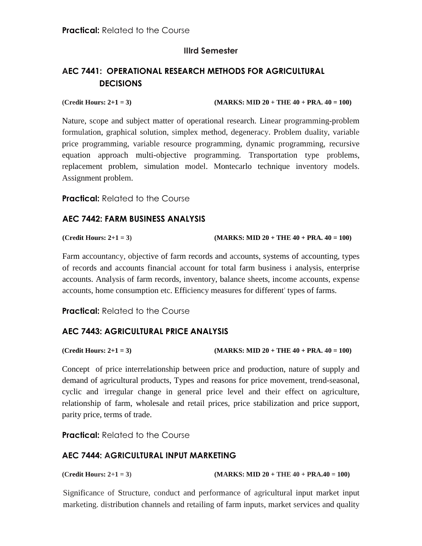## **IIIrd Semester**

# **AEC 7441: OPERATIONAL RESEARCH METHODS FOR AGRICULTURAL DECISIONS**

### $($ Credit Hours:  $2+1 = 3)$   $(MARKS: MID 20 + THE 40 + PRA. 40 = 100)$

Nature, scope and subject matter of operational research. Linear programming-problem formulation, graphical solution, simplex method, degeneracy. Problem duality, variable price programming, variable resource programming, dynamic programming, recursive equation approach multi-objective programming. Transportation type problems, replacement problem, simulation model. Montecarlo technique inventory models. Assignment problem.

**Practical:** Related to the Course

## **AEC 7442: FARM BUSINESS ANALYSIS**

**(Credit Hours: 2+1 = 3) (MARKS: MID 20 + THE 40 + PRA. 40 = 100)** 

Farm accountancy, objective of farm records and accounts, systems of accounting, types of records and accounts financial account for total farm business i analysis, enterprise accounts. Analysis of farm records, inventory, balance sheets, income accounts, expense accounts, home consumption etc. Efficiency measures for different' types of farms.

**Practical:** Related to the Course

## **AEC 7443: AGRICULTURAL PRICE ANALYSIS**

**(Credit Hours: 2+1 = 3) (MARKS: MID 20 + THE 40 + PRA. 40 = 100)**

Concept of price interrelationship between price and production, nature of supply and demand of agricultural products, Types and reasons for price movement, trend-seasonal, cyclic and 'irregular change in general price level and their effect on agriculture, relationship of farm, wholesale and retail prices, price stabilization and price support, parity price, terms of trade.

**Practical:** Related to the Course

## **AEC 7444: AGRICULTURAL INPUT MARKETING**

**(Credit Hours: 2+1 = 3) (MARKS: MID 20 + THE 40 + PRA.40 = 100)** 

Significance of Structure, conduct and performance of agricultural input market input marketing. distribution channels and retailing of farm inputs, market services and quality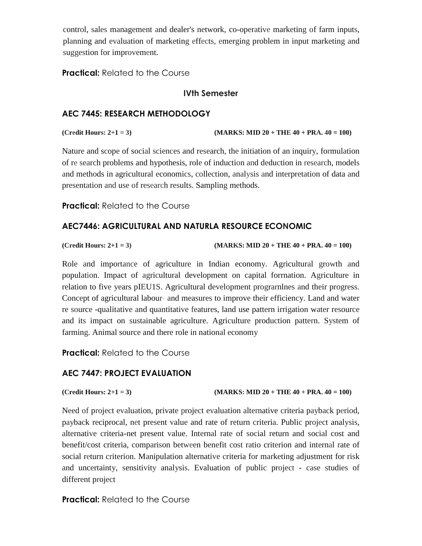control, sales management and dealer's network, co-operative marketing of farm inputs, planning and evaluation of marketing effects, emerging problem in input marketing and suggestion for improvement.

**Practical:** Related to the Course

## **IVth Semester**

## **AEC 7445: RESEARCH METHODOLOGY**

**(Credit Hours: 2+1 = 3) (MARKS: MID 20 + THE 40 + PRA. 40 = 100)** 

Nature and scope of social sciences and research, the initiation of an inquiry, formulation of re search problems and hypothesis, role of induction and deduction in research, models and methods in agricultural economics, collection, analysis and interpretation of data and presentation and use of research results. Sampling methods.

**Practical:** Related to the Course

## **AEC7446: AGRICULTURAL AND NATURLA RESOURCE ECONOMIC**

**(Credit Hours: 2+1 = 3) (MARKS: MID 20 + THE 40 + PRA. 40 = 100)** 

Role and importance of agriculture in Indian economy. Agricultural growth and population. Impact of agricultural development on capital forrnation. Agriculture in relation to five years pIEU1S. Agricultural development prograrnlnes and their progress. Concept of agricultural labour- and measures to improve their efficiency. Land and water re source -qualitative and quantitative features, land use pattern irrigation water resource and its impact on sustainable agriculture. Agriculture production pattern. System of farming. Animal source and there role in national economy

**Practical: Related to the Course** 

## **AEC 7447: PROJECT EVALUATION**

**(Credit Hours: 2+1 = 3) (MARKS: MID 20 + THE 40 + PRA. 40 = 100)** 

Need of project evaluation, private project evaluation alternative criteria payback period, payback reciprocal, net present value and rate of return criteria. Public project analysis, alternative criteria-net present value. Internal rate of social return and social cost and benefit/cost criteria, comparison between benefit cost ratio criterion and internal rate of social return criterion. Manipulation alternative criteria for marketing adjustment for risk and uncertainty, sensitivity analysis. Evaluation of public project - case studies of different project

**Practical: Related to the Course**